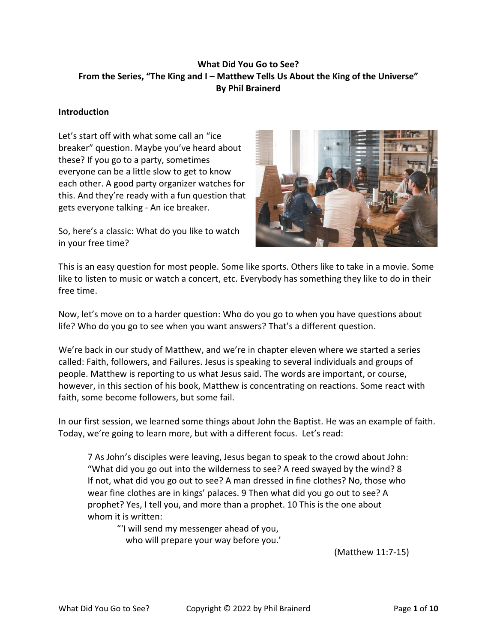# **What Did You Go to See? From the Series, "The King and I – Matthew Tells Us About the King of the Universe" By Phil Brainerd**

#### **Introduction**

Let's start off with what some call an "ice breaker" question. Maybe you've heard about these? If you go to a party, sometimes everyone can be a little slow to get to know each other. A good party organizer watches for this. And they're ready with a fun question that gets everyone talking - An ice breaker.

So, here's a classic: What do you like to watch in your free time?



This is an easy question for most people. Some like sports. Others like to take in a movie. Some like to listen to music or watch a concert, etc. Everybody has something they like to do in their free time.

Now, let's move on to a harder question: Who do you go to when you have questions about life? Who do you go to see when you want answers? That's a different question.

We're back in our study of Matthew, and we're in chapter eleven where we started a series called: Faith, followers, and Failures. Jesus is speaking to several individuals and groups of people. Matthew is reporting to us what Jesus said. The words are important, or course, however, in this section of his book, Matthew is concentrating on reactions. Some react with faith, some become followers, but some fail.

In our first session, we learned some things about John the Baptist. He was an example of faith. Today, we're going to learn more, but with a different focus. Let's read:

7 As John's disciples were leaving, Jesus began to speak to the crowd about John: "What did you go out into the wilderness to see? A reed swayed by the wind? 8 If not, what did you go out to see? A man dressed in fine clothes? No, those who wear fine clothes are in kings' palaces. 9 Then what did you go out to see? A prophet? Yes, I tell you, and more than a prophet. 10 This is the one about whom it is written:

"'I will send my messenger ahead of you, who will prepare your way before you.'

(Matthew 11:7-15)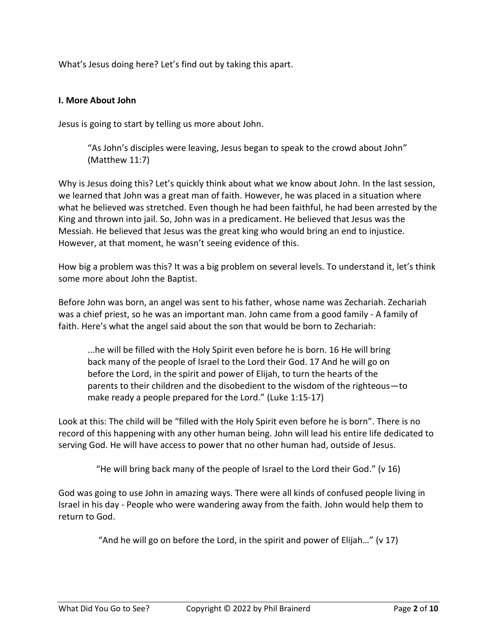What's Jesus doing here? Let's find out by taking this apart.

### **I. More About John**

Jesus is going to start by telling us more about John.

"As John's disciples were leaving, Jesus began to speak to the crowd about John" (Matthew 11:7)

Why is Jesus doing this? Let's quickly think about what we know about John. In the last session, we learned that John was a great man of faith. However, he was placed in a situation where what he believed was stretched. Even though he had been faithful, he had been arrested by the King and thrown into jail. So, John was in a predicament. He believed that Jesus was the Messiah. He believed that Jesus was the great king who would bring an end to injustice. However, at that moment, he wasn't seeing evidence of this.

How big a problem was this? It was a big problem on several levels. To understand it, let's think some more about John the Baptist.

Before John was born, an angel was sent to his father, whose name was Zechariah. Zechariah was a chief priest, so he was an important man. John came from a good family - A family of faith. Here's what the angel said about the son that would be born to Zechariah:

...he will be filled with the Holy Spirit even before he is born. 16 He will bring back many of the people of Israel to the Lord their God. 17 And he will go on before the Lord, in the spirit and power of Elijah, to turn the hearts of the parents to their children and the disobedient to the wisdom of the righteous—to make ready a people prepared for the Lord." (Luke 1:15-17)

Look at this: The child will be "filled with the Holy Spirit even before he is born". There is no record of this happening with any other human being. John will lead his entire life dedicated to serving God. He will have access to power that no other human had, outside of Jesus.

"He will bring back many of the people of Israel to the Lord their God." (v 16)

God was going to use John in amazing ways. There were all kinds of confused people living in Israel in his day - People who were wandering away from the faith. John would help them to return to God.

"And he will go on before the Lord, in the spirit and power of Elijah…" (v 17)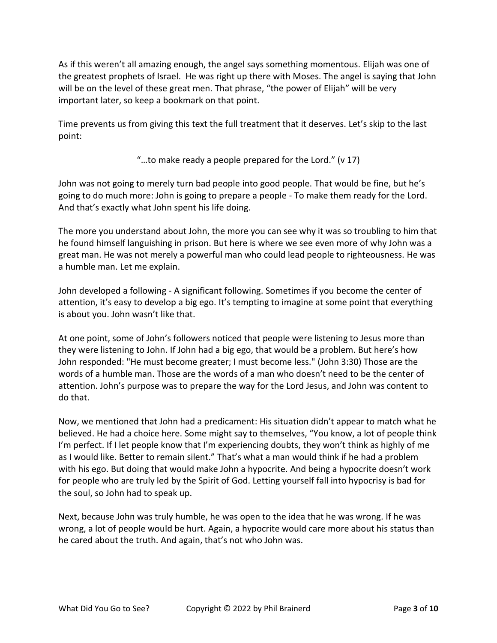As if this weren't all amazing enough, the angel says something momentous. Elijah was one of the greatest prophets of Israel. He was right up there with Moses. The angel is saying that John will be on the level of these great men. That phrase, "the power of Elijah" will be very important later, so keep a bookmark on that point.

Time prevents us from giving this text the full treatment that it deserves. Let's skip to the last point:

"…to make ready a people prepared for the Lord." (v 17)

John was not going to merely turn bad people into good people. That would be fine, but he's going to do much more: John is going to prepare a people - To make them ready for the Lord. And that's exactly what John spent his life doing.

The more you understand about John, the more you can see why it was so troubling to him that he found himself languishing in prison. But here is where we see even more of why John was a great man. He was not merely a powerful man who could lead people to righteousness. He was a humble man. Let me explain.

John developed a following - A significant following. Sometimes if you become the center of attention, it's easy to develop a big ego. It's tempting to imagine at some point that everything is about you. John wasn't like that.

At one point, some of John's followers noticed that people were listening to Jesus more than they were listening to John. If John had a big ego, that would be a problem. But here's how John responded: "He must become greater; I must become less." (John 3:30) Those are the words of a humble man. Those are the words of a man who doesn't need to be the center of attention. John's purpose was to prepare the way for the Lord Jesus, and John was content to do that.

Now, we mentioned that John had a predicament: His situation didn't appear to match what he believed. He had a choice here. Some might say to themselves, "You know, a lot of people think I'm perfect. If I let people know that I'm experiencing doubts, they won't think as highly of me as I would like. Better to remain silent." That's what a man would think if he had a problem with his ego. But doing that would make John a hypocrite. And being a hypocrite doesn't work for people who are truly led by the Spirit of God. Letting yourself fall into hypocrisy is bad for the soul, so John had to speak up.

Next, because John was truly humble, he was open to the idea that he was wrong. If he was wrong, a lot of people would be hurt. Again, a hypocrite would care more about his status than he cared about the truth. And again, that's not who John was.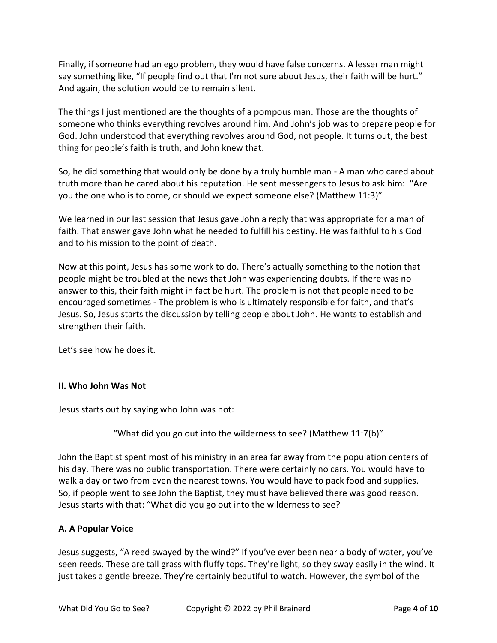Finally, if someone had an ego problem, they would have false concerns. A lesser man might say something like, "If people find out that I'm not sure about Jesus, their faith will be hurt." And again, the solution would be to remain silent.

The things I just mentioned are the thoughts of a pompous man. Those are the thoughts of someone who thinks everything revolves around him. And John's job was to prepare people for God. John understood that everything revolves around God, not people. It turns out, the best thing for people's faith is truth, and John knew that.

So, he did something that would only be done by a truly humble man - A man who cared about truth more than he cared about his reputation. He sent messengers to Jesus to ask him: "Are you the one who is to come, or should we expect someone else? (Matthew 11:3)"

We learned in our last session that Jesus gave John a reply that was appropriate for a man of faith. That answer gave John what he needed to fulfill his destiny. He was faithful to his God and to his mission to the point of death.

Now at this point, Jesus has some work to do. There's actually something to the notion that people might be troubled at the news that John was experiencing doubts. If there was no answer to this, their faith might in fact be hurt. The problem is not that people need to be encouraged sometimes - The problem is who is ultimately responsible for faith, and that's Jesus. So, Jesus starts the discussion by telling people about John. He wants to establish and strengthen their faith.

Let's see how he does it.

## **II. Who John Was Not**

Jesus starts out by saying who John was not:

"What did you go out into the wilderness to see? (Matthew 11:7(b)"

John the Baptist spent most of his ministry in an area far away from the population centers of his day. There was no public transportation. There were certainly no cars. You would have to walk a day or two from even the nearest towns. You would have to pack food and supplies. So, if people went to see John the Baptist, they must have believed there was good reason. Jesus starts with that: "What did you go out into the wilderness to see?

# **A. A Popular Voice**

Jesus suggests, "A reed swayed by the wind?" If you've ever been near a body of water, you've seen reeds. These are tall grass with fluffy tops. They're light, so they sway easily in the wind. It just takes a gentle breeze. They're certainly beautiful to watch. However, the symbol of the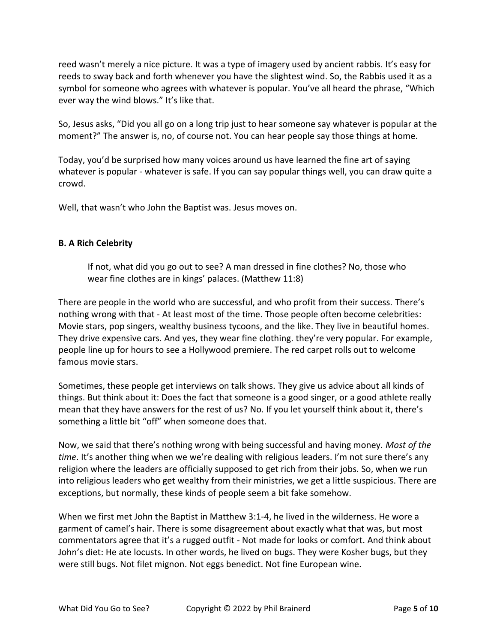reed wasn't merely a nice picture. It was a type of imagery used by ancient rabbis. It's easy for reeds to sway back and forth whenever you have the slightest wind. So, the Rabbis used it as a symbol for someone who agrees with whatever is popular. You've all heard the phrase, "Which ever way the wind blows." It's like that.

So, Jesus asks, "Did you all go on a long trip just to hear someone say whatever is popular at the moment?" The answer is, no, of course not. You can hear people say those things at home.

Today, you'd be surprised how many voices around us have learned the fine art of saying whatever is popular - whatever is safe. If you can say popular things well, you can draw quite a crowd.

Well, that wasn't who John the Baptist was. Jesus moves on.

## **B. A Rich Celebrity**

If not, what did you go out to see? A man dressed in fine clothes? No, those who wear fine clothes are in kings' palaces. (Matthew 11:8)

There are people in the world who are successful, and who profit from their success. There's nothing wrong with that - At least most of the time. Those people often become celebrities: Movie stars, pop singers, wealthy business tycoons, and the like. They live in beautiful homes. They drive expensive cars. And yes, they wear fine clothing. they're very popular. For example, people line up for hours to see a Hollywood premiere. The red carpet rolls out to welcome famous movie stars.

Sometimes, these people get interviews on talk shows. They give us advice about all kinds of things. But think about it: Does the fact that someone is a good singer, or a good athlete really mean that they have answers for the rest of us? No. If you let yourself think about it, there's something a little bit "off" when someone does that.

Now, we said that there's nothing wrong with being successful and having money. *Most of the time*. It's another thing when we we're dealing with religious leaders. I'm not sure there's any religion where the leaders are officially supposed to get rich from their jobs. So, when we run into religious leaders who get wealthy from their ministries, we get a little suspicious. There are exceptions, but normally, these kinds of people seem a bit fake somehow.

When we first met John the Baptist in Matthew 3:1-4, he lived in the wilderness. He wore a garment of camel's hair. There is some disagreement about exactly what that was, but most commentators agree that it's a rugged outfit - Not made for looks or comfort. And think about John's diet: He ate locusts. In other words, he lived on bugs. They were Kosher bugs, but they were still bugs. Not filet mignon. Not eggs benedict. Not fine European wine.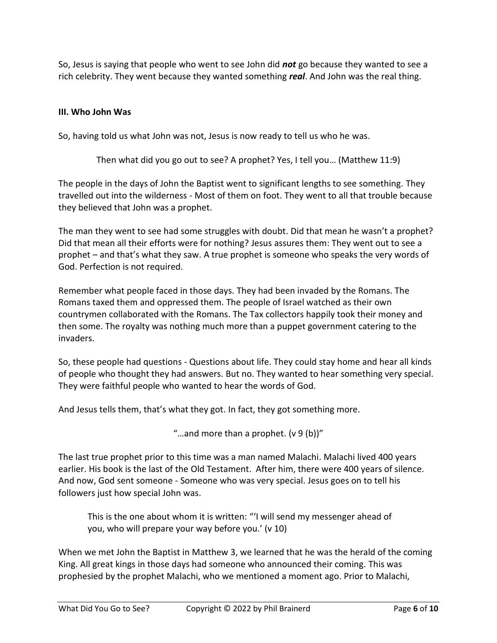So, Jesus is saying that people who went to see John did *not* go because they wanted to see a rich celebrity. They went because they wanted something *real*. And John was the real thing.

### **III. Who John Was**

So, having told us what John was not, Jesus is now ready to tell us who he was.

Then what did you go out to see? A prophet? Yes, I tell you… (Matthew 11:9)

The people in the days of John the Baptist went to significant lengths to see something. They travelled out into the wilderness - Most of them on foot. They went to all that trouble because they believed that John was a prophet.

The man they went to see had some struggles with doubt. Did that mean he wasn't a prophet? Did that mean all their efforts were for nothing? Jesus assures them: They went out to see a prophet – and that's what they saw. A true prophet is someone who speaks the very words of God. Perfection is not required.

Remember what people faced in those days. They had been invaded by the Romans. The Romans taxed them and oppressed them. The people of Israel watched as their own countrymen collaborated with the Romans. The Tax collectors happily took their money and then some. The royalty was nothing much more than a puppet government catering to the invaders.

So, these people had questions - Questions about life. They could stay home and hear all kinds of people who thought they had answers. But no. They wanted to hear something very special. They were faithful people who wanted to hear the words of God.

And Jesus tells them, that's what they got. In fact, they got something more.

"...and more than a prophet.  $(v 9 (b))$ "

The last true prophet prior to this time was a man named Malachi. Malachi lived 400 years earlier. His book is the last of the Old Testament. After him, there were 400 years of silence. And now, God sent someone - Someone who was very special. Jesus goes on to tell his followers just how special John was.

This is the one about whom it is written: "'I will send my messenger ahead of you, who will prepare your way before you.' (v 10)

When we met John the Baptist in Matthew 3, we learned that he was the herald of the coming King. All great kings in those days had someone who announced their coming. This was prophesied by the prophet Malachi, who we mentioned a moment ago. Prior to Malachi,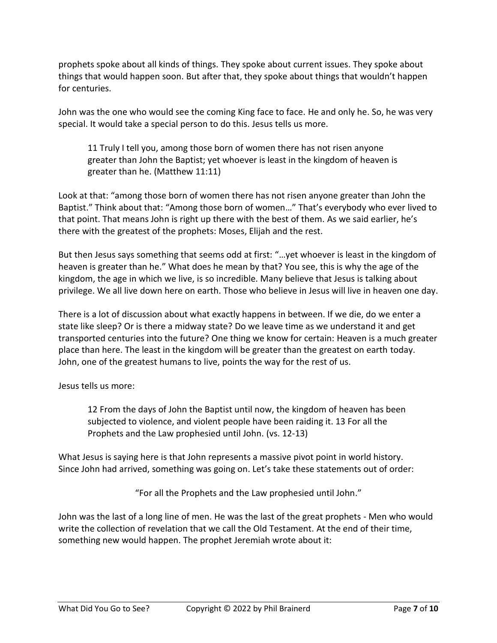prophets spoke about all kinds of things. They spoke about current issues. They spoke about things that would happen soon. But after that, they spoke about things that wouldn't happen for centuries.

John was the one who would see the coming King face to face. He and only he. So, he was very special. It would take a special person to do this. Jesus tells us more.

11 Truly I tell you, among those born of women there has not risen anyone greater than John the Baptist; yet whoever is least in the kingdom of heaven is greater than he. (Matthew 11:11)

Look at that: "among those born of women there has not risen anyone greater than John the Baptist." Think about that: "Among those born of women…" That's everybody who ever lived to that point. That means John is right up there with the best of them. As we said earlier, he's there with the greatest of the prophets: Moses, Elijah and the rest.

But then Jesus says something that seems odd at first: "…yet whoever is least in the kingdom of heaven is greater than he." What does he mean by that? You see, this is why the age of the kingdom, the age in which we live, is so incredible. Many believe that Jesus is talking about privilege. We all live down here on earth. Those who believe in Jesus will live in heaven one day.

There is a lot of discussion about what exactly happens in between. If we die, do we enter a state like sleep? Or is there a midway state? Do we leave time as we understand it and get transported centuries into the future? One thing we know for certain: Heaven is a much greater place than here. The least in the kingdom will be greater than the greatest on earth today. John, one of the greatest humans to live, points the way for the rest of us.

Jesus tells us more:

12 From the days of John the Baptist until now, the kingdom of heaven has been subjected to violence, and violent people have been raiding it. 13 For all the Prophets and the Law prophesied until John. (vs. 12-13)

What Jesus is saying here is that John represents a massive pivot point in world history. Since John had arrived, something was going on. Let's take these statements out of order:

"For all the Prophets and the Law prophesied until John."

John was the last of a long line of men. He was the last of the great prophets - Men who would write the collection of revelation that we call the Old Testament. At the end of their time, something new would happen. The prophet Jeremiah wrote about it: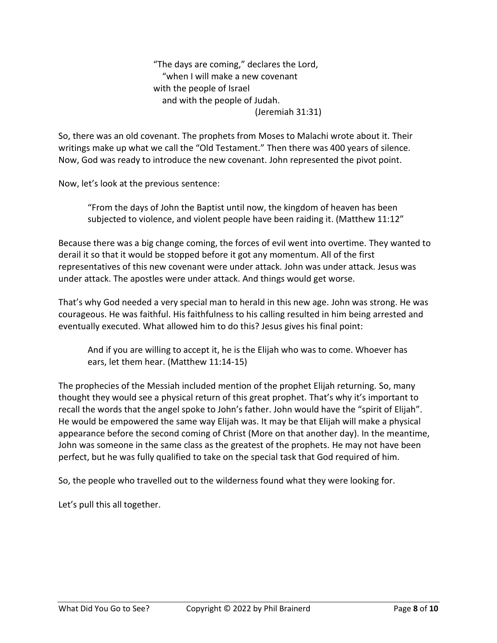"The days are coming," declares the Lord, "when I will make a new covenant with the people of Israel and with the people of Judah. (Jeremiah 31:31)

So, there was an old covenant. The prophets from Moses to Malachi wrote about it. Their writings make up what we call the "Old Testament." Then there was 400 years of silence. Now, God was ready to introduce the new covenant. John represented the pivot point.

Now, let's look at the previous sentence:

"From the days of John the Baptist until now, the kingdom of heaven has been subjected to violence, and violent people have been raiding it. (Matthew 11:12"

Because there was a big change coming, the forces of evil went into overtime. They wanted to derail it so that it would be stopped before it got any momentum. All of the first representatives of this new covenant were under attack. John was under attack. Jesus was under attack. The apostles were under attack. And things would get worse.

That's why God needed a very special man to herald in this new age. John was strong. He was courageous. He was faithful. His faithfulness to his calling resulted in him being arrested and eventually executed. What allowed him to do this? Jesus gives his final point:

And if you are willing to accept it, he is the Elijah who was to come. Whoever has ears, let them hear. (Matthew 11:14-15)

The prophecies of the Messiah included mention of the prophet Elijah returning. So, many thought they would see a physical return of this great prophet. That's why it's important to recall the words that the angel spoke to John's father. John would have the "spirit of Elijah". He would be empowered the same way Elijah was. It may be that Elijah will make a physical appearance before the second coming of Christ (More on that another day). In the meantime, John was someone in the same class as the greatest of the prophets. He may not have been perfect, but he was fully qualified to take on the special task that God required of him.

So, the people who travelled out to the wilderness found what they were looking for.

Let's pull this all together.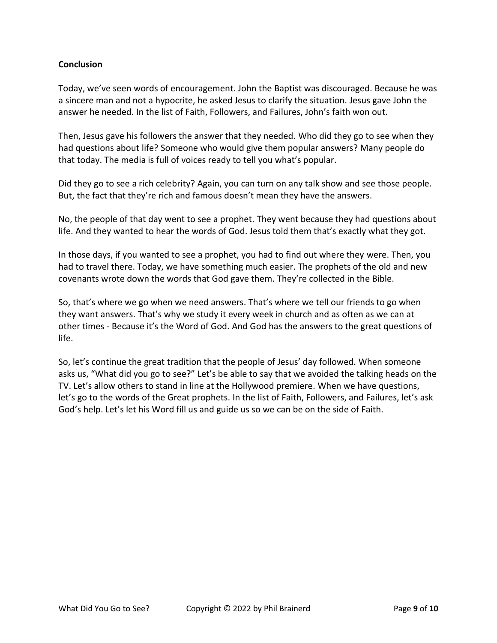## **Conclusion**

Today, we've seen words of encouragement. John the Baptist was discouraged. Because he was a sincere man and not a hypocrite, he asked Jesus to clarify the situation. Jesus gave John the answer he needed. In the list of Faith, Followers, and Failures, John's faith won out.

Then, Jesus gave his followers the answer that they needed. Who did they go to see when they had questions about life? Someone who would give them popular answers? Many people do that today. The media is full of voices ready to tell you what's popular.

Did they go to see a rich celebrity? Again, you can turn on any talk show and see those people. But, the fact that they're rich and famous doesn't mean they have the answers.

No, the people of that day went to see a prophet. They went because they had questions about life. And they wanted to hear the words of God. Jesus told them that's exactly what they got.

In those days, if you wanted to see a prophet, you had to find out where they were. Then, you had to travel there. Today, we have something much easier. The prophets of the old and new covenants wrote down the words that God gave them. They're collected in the Bible.

So, that's where we go when we need answers. That's where we tell our friends to go when they want answers. That's why we study it every week in church and as often as we can at other times - Because it's the Word of God. And God has the answers to the great questions of life.

So, let's continue the great tradition that the people of Jesus' day followed. When someone asks us, "What did you go to see?" Let's be able to say that we avoided the talking heads on the TV. Let's allow others to stand in line at the Hollywood premiere. When we have questions, let's go to the words of the Great prophets. In the list of Faith, Followers, and Failures, let's ask God's help. Let's let his Word fill us and guide us so we can be on the side of Faith.